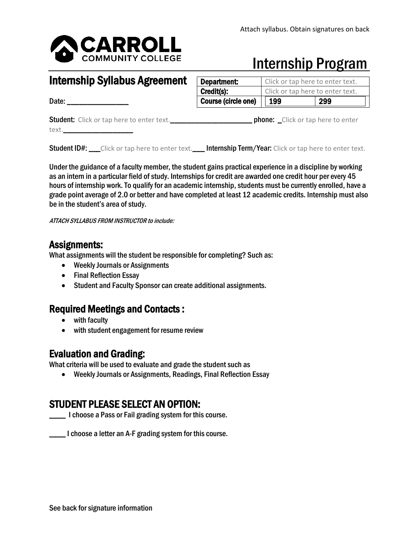

## Internship Program

### Internship Syllabus Agreement Date: \_\_\_\_\_\_\_\_\_\_\_\_\_\_\_ Student: Click or tap here to enter text.\_\_\_\_\_\_\_\_\_\_\_\_\_\_\_\_\_\_\_\_ phone: \_Click or tap here to enter text.\_\_\_\_\_\_\_\_\_\_\_\_\_\_\_\_\_ **Department:** | Click or tap here to enter text. **Credit(s): Click or tap here to enter text.** Course (circle one)  $\vert \vert$  199  $\vert$  299

Student ID#: \_\_\_Click or tap here to enter text. \_\_\_ Internship Term/Year: Click or tap here to enter text.

Under the guidance of a faculty member, the student gains practical experience in a discipline by working as an intern in a particular field of study. Internships for credit are awarded one credit hour per every 45 hours of internship work. To qualify for an academic internship, students must be currently enrolled, have a grade point average of 2.0 or better and have completed at least 12 academic credits. Internship must also be in the student's area of study.

ATTACH SYLLABUS FROM INSTRUCTOR to include:

**Assignments:** What assignments: What assignments will the student be responsible for completing? Such as:

- Weekly Journals or Assignments
- Final Reflection Essay
- Student and Faculty Sponsor can create additional assignments.

### Required Meetings and Contacts :

- with faculty
- with student engagement for resume review

**Evaluation and Grading:** What criteria will be used to evaluate and grade the student such as What criteria will be used to evaluate and grade the student such as

• Weekly Journals or Assignments, Readings, Final Reflection Essay

# **STUDENT PLEASE SELECT AN OPTION:**<br>I choose a Pass or Fail grading system for this course.

I choose a letter an A-F grading system for this course.